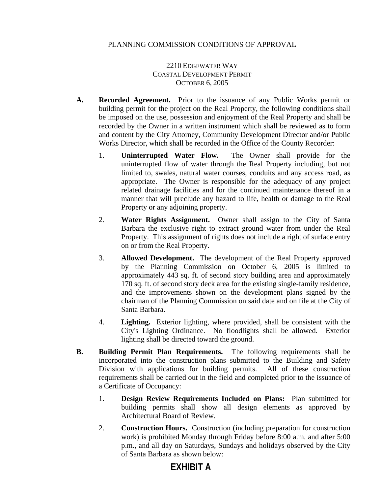## PLANNING COMMISSION CONDITIONS OF APPROVAL

2210 EDGEWATER WAY COASTAL DEVELOPMENT PERMIT OCTOBER 6, 2005

- **A. Recorded Agreement.** Prior to the issuance of any Public Works permit or building permit for the project on the Real Property, the following conditions shall be imposed on the use, possession and enjoyment of the Real Property and shall be recorded by the Owner in a written instrument which shall be reviewed as to form and content by the City Attorney, Community Development Director and/or Public Works Director, which shall be recorded in the Office of the County Recorder:
	- 1. **Uninterrupted Water Flow.** The Owner shall provide for the uninterrupted flow of water through the Real Property including, but not limited to, swales, natural water courses, conduits and any access road, as appropriate. The Owner is responsible for the adequacy of any project related drainage facilities and for the continued maintenance thereof in a manner that will preclude any hazard to life, health or damage to the Real Property or any adjoining property.
	- 2. **Water Rights Assignment.** Owner shall assign to the City of Santa Barbara the exclusive right to extract ground water from under the Real Property. This assignment of rights does not include a right of surface entry on or from the Real Property.
	- 3. **Allowed Development.** The development of the Real Property approved by the Planning Commission on October 6, 2005 is limited to approximately 443 sq. ft. of second story building area and approximately 170 sq. ft. of second story deck area for the existing single-family residence, and the improvements shown on the development plans signed by the chairman of the Planning Commission on said date and on file at the City of Santa Barbara.
	- 4. **Lighting.** Exterior lighting, where provided, shall be consistent with the City's Lighting Ordinance. No floodlights shall be allowed. Exterior lighting shall be directed toward the ground.
- **B. Building Permit Plan Requirements.** The following requirements shall be incorporated into the construction plans submitted to the Building and Safety Division with applications for building permits. All of these construction requirements shall be carried out in the field and completed prior to the issuance of a Certificate of Occupancy:
	- 1. **Design Review Requirements Included on Plans:** Plan submitted for building permits shall show all design elements as approved by Architectural Board of Review.
	- 2. **Construction Hours.** Construction (including preparation for construction work) is prohibited Monday through Friday before 8:00 a.m. and after 5:00 p.m., and all day on Saturdays, Sundays and holidays observed by the City of Santa Barbara as shown below:

## **EXHIBIT A**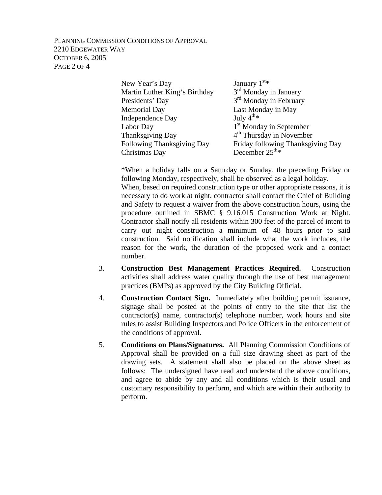PLANNING COMMISSION CONDITIONS OF APPROVAL 2210 EDGEWATER WAY OCTOBER 6, 2005 PAGE 2 OF 4

| New Year's Day                | January $1st$ *                      |
|-------------------------------|--------------------------------------|
| Martin Luther King's Birthday | 3 <sup>rd</sup> Monday in January    |
| Presidents' Day               | 3 <sup>rd</sup> Monday in February   |
| <b>Memorial Day</b>           | Last Monday in May                   |
| Independence Day              | July $4^{th*}$                       |
| Labor Day                     | 1 <sup>st</sup> Monday in September  |
| <b>Thanksgiving Day</b>       | 4 <sup>th</sup> Thursday in November |
| Following Thanksgiving Day    | Friday following Thanksgiving Day    |
| Christmas Day                 | December $25^{\text{th}_{*}}$        |

 \*When a holiday falls on a Saturday or Sunday, the preceding Friday or following Monday, respectively, shall be observed as a legal holiday.

 When, based on required construction type or other appropriate reasons, it is necessary to do work at night, contractor shall contact the Chief of Building and Safety to request a waiver from the above construction hours, using the procedure outlined in SBMC § 9.16.015 Construction Work at Night. Contractor shall notify all residents within 300 feet of the parcel of intent to carry out night construction a minimum of 48 hours prior to said construction. Said notification shall include what the work includes, the reason for the work, the duration of the proposed work and a contact number.

- 3. **Construction Best Management Practices Required.** Construction activities shall address water quality through the use of best management practices (BMPs) as approved by the City Building Official.
- 4. **Construction Contact Sign.** Immediately after building permit issuance, signage shall be posted at the points of entry to the site that list the contractor(s) name, contractor(s) telephone number, work hours and site rules to assist Building Inspectors and Police Officers in the enforcement of the conditions of approval.
- 5. **Conditions on Plans/Signatures.** All Planning Commission Conditions of Approval shall be provided on a full size drawing sheet as part of the drawing sets. A statement shall also be placed on the above sheet as follows: The undersigned have read and understand the above conditions, and agree to abide by any and all conditions which is their usual and customary responsibility to perform, and which are within their authority to perform.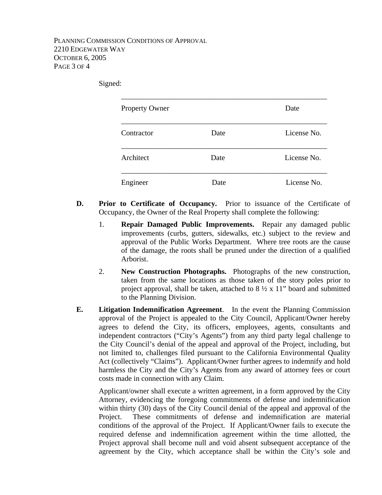Signed:

| Property Owner |      | Date        |
|----------------|------|-------------|
| Contractor     | Date | License No. |
| Architect      | Date | License No. |
| Engineer       | Date | License No. |

- **D. Prior to Certificate of Occupancy.** Prior to issuance of the Certificate of Occupancy, the Owner of the Real Property shall complete the following:
	- 1. **Repair Damaged Public Improvements.** Repair any damaged public improvements (curbs, gutters, sidewalks, etc.) subject to the review and approval of the Public Works Department. Where tree roots are the cause of the damage, the roots shall be pruned under the direction of a qualified Arborist.
	- 2. **New Construction Photographs.** Photographs of the new construction, taken from the same locations as those taken of the story poles prior to project approval, shall be taken, attached to  $8\frac{1}{2} \times 11$ " board and submitted to the Planning Division.
- **E. Litigation Indemnification Agreement**. In the event the Planning Commission approval of the Project is appealed to the City Council, Applicant/Owner hereby agrees to defend the City, its officers, employees, agents, consultants and independent contractors ("City's Agents") from any third party legal challenge to the City Council's denial of the appeal and approval of the Project, including, but not limited to, challenges filed pursuant to the California Environmental Quality Act (collectively "Claims"). Applicant/Owner further agrees to indemnify and hold harmless the City and the City's Agents from any award of attorney fees or court costs made in connection with any Claim.

Applicant/owner shall execute a written agreement, in a form approved by the City Attorney, evidencing the foregoing commitments of defense and indemnification within thirty (30) days of the City Council denial of the appeal and approval of the Project. These commitments of defense and indemnification are material conditions of the approval of the Project. If Applicant/Owner fails to execute the required defense and indemnification agreement within the time allotted, the Project approval shall become null and void absent subsequent acceptance of the agreement by the City, which acceptance shall be within the City's sole and